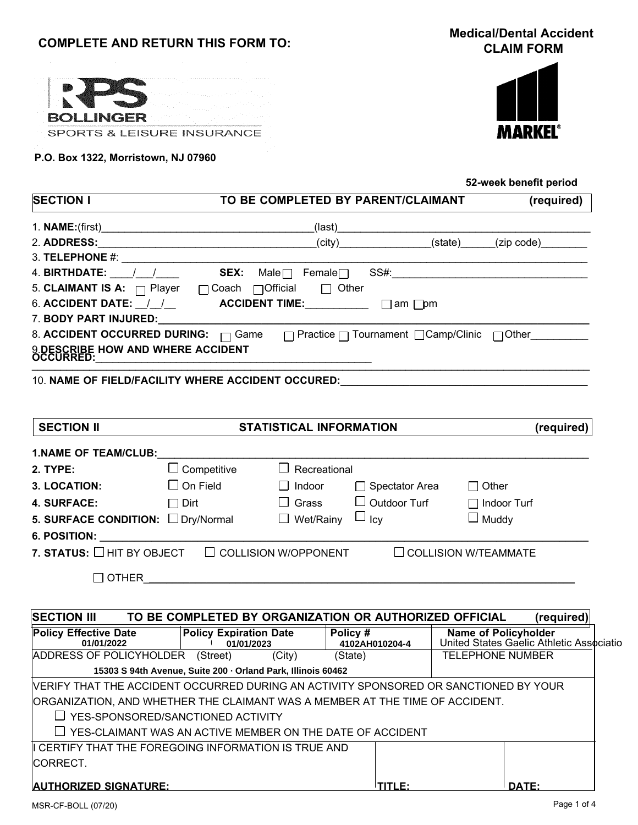# **COMPLETE AND RETURN THIS FORM TO:**

**Medical/Dental Accident CLAIM FORM**

|               | a sua a tradición de durante de partir de 1970. Para |  |
|---------------|------------------------------------------------------|--|
|               |                                                      |  |
| OLI INGERITTI |                                                      |  |
|               | SPORTS & LEISURE INSURANCE                           |  |

#### **P.O. Box 1322, Morristown, NJ 07960**



|                                                                                      |                                                              |                                                     |                             | 52-week benefit period                                                  |
|--------------------------------------------------------------------------------------|--------------------------------------------------------------|-----------------------------------------------------|-----------------------------|-------------------------------------------------------------------------|
| <b>SECTION I</b>                                                                     | TO BE COMPLETED BY PARENT/CLAIMANT                           |                                                     |                             | (required)                                                              |
|                                                                                      |                                                              |                                                     |                             |                                                                         |
|                                                                                      |                                                              |                                                     |                             |                                                                         |
|                                                                                      |                                                              |                                                     |                             |                                                                         |
| 4. BIRTHDATE: $\frac{1}{\sqrt{2}}$ SEX: Male Female SS#:                             |                                                              |                                                     |                             |                                                                         |
| 5. CLAIMANT IS A: □ Player □ Coach □ Official □ Other                                |                                                              |                                                     |                             |                                                                         |
| 6. ACCIDENT DATE: _/_/__ ACCIDENT TIME: ____________ $\Box$ am $\Box$ pm             |                                                              |                                                     |                             |                                                                         |
|                                                                                      |                                                              |                                                     |                             |                                                                         |
| 8. ACCIDENT OCCURRED DURING: □ Game □ Practice □ Tournament □ Camp/Clinic □ Other    |                                                              |                                                     |                             |                                                                         |
|                                                                                      |                                                              |                                                     |                             |                                                                         |
|                                                                                      |                                                              |                                                     |                             |                                                                         |
| 10. NAME OF FIELD/FACILITY WHERE ACCIDENT OCCURED:______________________________     |                                                              |                                                     |                             |                                                                         |
|                                                                                      |                                                              |                                                     |                             |                                                                         |
|                                                                                      |                                                              |                                                     |                             |                                                                         |
| <b>SECTION II</b>                                                                    | STATISTICAL INFORMATION                                      |                                                     |                             | (required)                                                              |
| <b>1.NAME OF TEAM/CLUB:</b>                                                          |                                                              |                                                     |                             |                                                                         |
| 2. TYPE: <b>Access 19</b>                                                            | $\Box$ Competitive<br>$\Box$ Recreational                    |                                                     |                             |                                                                         |
| <b>3. LOCATION:</b>                                                                  | $\Box$ On Field $\Box$ Indoor $\Box$ Spectator Area          |                                                     | $\Box$ Other                |                                                                         |
| <b>4. SURFACE:</b>                                                                   | $\Box$ Dirt                                                  | $\Box$ Grass $\Box$ Outdoor Turf                    | $\Box$ Indoor Turf          |                                                                         |
| <b>5. SURFACE CONDITION:</b> $\Box$ Dry/Normal $\Box$ Wet/Rainy $\Box$ Icy           |                                                              |                                                     | $\Box$ Muddy                |                                                                         |
|                                                                                      |                                                              |                                                     |                             |                                                                         |
|                                                                                      |                                                              |                                                     |                             |                                                                         |
| 7. STATUS: $\Box$ HIT BY OBJECT $\quad \Box$ COLLISION W/OPPONENT                    |                                                              |                                                     | $\Box$ COLLISION W/TEAMMATE |                                                                         |
| $\Box$ OTHER                                                                         |                                                              |                                                     |                             |                                                                         |
|                                                                                      |                                                              |                                                     |                             |                                                                         |
|                                                                                      |                                                              |                                                     |                             |                                                                         |
| <b>SECTION III</b>                                                                   | TO BE COMPLETED BY ORGANIZATION OR AUTHORIZED OFFICIAL       |                                                     |                             | (required)                                                              |
| <b>Policy Effective Date</b><br>01/01/2022                                           | <b>Policy Expiration Date</b><br>01/01/2023                  | $\overline{\phantom{a}}$ Policy #<br>4102AH010204-4 |                             | <b>Name of Policyholder</b><br>United States Gaelic Athletic Associatio |
| ADDRESS OF POLICYHOLDER (Street)                                                     | (City)                                                       | (State)                                             | <b>TELEPHONE NUMBER</b>     |                                                                         |
|                                                                                      | 15303 S 94th Avenue, Suite 200 · Orland Park, Illinois 60462 |                                                     |                             |                                                                         |
| VERIFY THAT THE ACCIDENT OCCURRED DURING AN ACTIVITY SPONSORED OR SANCTIONED BY YOUR |                                                              |                                                     |                             |                                                                         |
| ORGANIZATION, AND WHETHER THE CLAIMANT WAS A MEMBER AT THE TIME OF ACCIDENT.         |                                                              |                                                     |                             |                                                                         |
| $\Box$ YES-SPONSORED/SANCTIONED ACTIVITY                                             |                                                              |                                                     |                             |                                                                         |
|                                                                                      | YES-CLAIMANT WAS AN ACTIVE MEMBER ON THE DATE OF ACCIDENT    |                                                     |                             |                                                                         |

## **AUTHORIZED SIGNATURE: TITLE: DATE:**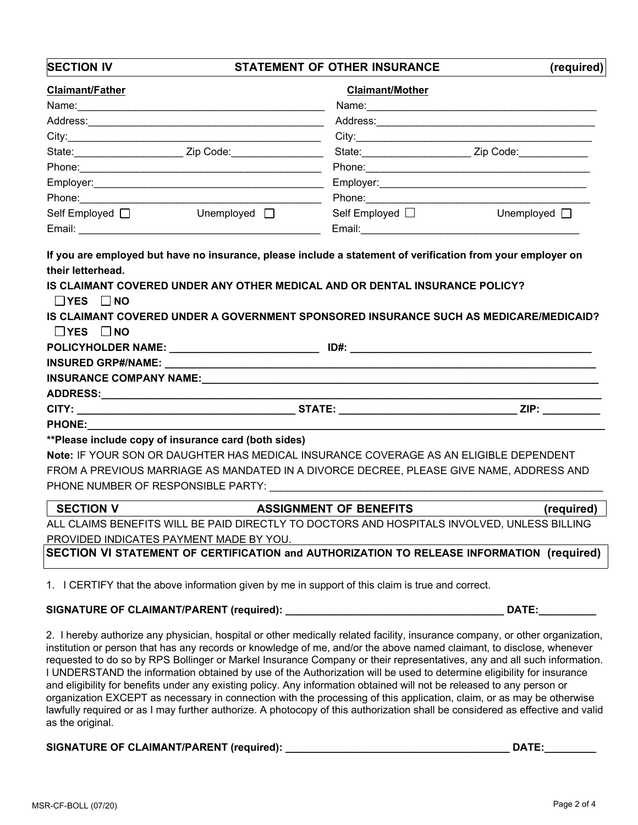**SECTION V ASSIGNMENT OF BENEFITS (required)** ALL CLAIMS BENEFITS WILL BE PAID DIRECTLY TO DOCTORS AND HOSPITALS INVOLVED, UNLESS BILLING PROVIDED INDICATES PAYMENT MADE BY YOU. If you are employed but have no insurance, please include a statement of verification from your employer on **their letterhead. IS CLAIMANT COVERED UNDER ANY OTHER MEDICAL AND OR DENTAL INSURANCE POLICY? YES NO IS CLAIMANT COVERED UNDER A GOVERNMENT SPONSORED INSURANCE SUCH AS MEDICARE/MEDICAID? YES NO POLICYHOLDER NAME: \_\_\_\_\_\_\_\_\_\_\_\_\_\_\_\_\_\_\_\_\_\_\_\_\_\_ ID#: \_\_\_\_\_\_\_\_\_\_\_\_\_\_\_\_\_\_\_\_\_\_\_\_\_\_\_\_\_\_\_\_\_\_\_\_\_\_\_\_\_\_ INSURED GRP#/NAME: \_\_\_\_\_\_\_\_\_\_\_\_\_\_\_\_\_\_\_\_\_\_\_\_\_\_\_\_\_\_\_\_\_\_\_\_\_\_\_\_\_\_\_\_\_\_\_\_\_\_\_\_\_\_\_\_\_\_\_\_\_\_\_\_\_\_\_\_\_\_\_\_\_\_\_ INSURANCE COMPANY NAME: ADDRESS:\_\_\_\_\_\_\_\_\_\_\_\_\_\_\_\_\_\_\_\_\_\_\_\_\_\_\_\_\_\_\_\_\_\_\_\_\_\_\_\_\_\_\_\_\_\_\_\_\_\_\_\_\_\_\_\_\_\_\_\_\_\_\_\_\_\_\_\_\_\_\_\_\_\_\_\_\_\_\_\_\_\_\_\_\_\_\_ CITY: \_\_\_\_\_\_\_\_\_\_\_\_\_\_\_\_\_\_\_\_\_\_\_\_\_\_\_\_\_\_\_\_\_\_\_\_\_\_ STATE: \_\_\_\_\_\_\_\_\_\_\_\_\_\_\_\_\_\_\_\_\_\_\_\_\_\_\_\_\_\_\_ ZIP: \_\_\_\_\_\_\_\_\_\_ PHONE:\_\_\_\_\_\_\_\_\_\_\_\_\_\_\_\_\_\_\_\_\_\_\_\_\_\_\_\_\_\_\_\_\_\_\_\_\_\_\_\_\_\_\_\_\_\_\_\_\_\_\_\_\_\_\_\_\_\_\_\_\_\_\_\_\_\_\_\_\_\_\_\_\_\_\_\_\_\_\_\_\_\_\_\_\_\_\_\_\_\_ \*\*Please include copy of insurance card (both sides) Note:** IF YOUR SON OR DAUGHTER HAS MEDICAL INSURANCE COVERAGE AS AN ELIGIBLE DEPENDENT FROM A PREVIOUS MARRIAGE AS MANDATED IN A DIVORCE DECREE, PLEASE GIVE NAME, ADDRESS AND PHONE NUMBER OF RESPONSIBLE PARTY: \_\_\_\_\_\_\_\_\_\_\_\_\_\_\_\_\_\_\_\_\_\_\_\_\_\_\_\_\_\_\_\_\_\_\_\_\_\_\_\_\_\_\_\_\_\_\_\_\_\_\_\_\_\_\_\_\_\_ **SECTION IV STATEMENT OF OTHER INSURANCE (required) Claimant/Father Claimant/Mother** Name:\_\_\_\_\_\_\_\_\_\_\_\_\_\_\_\_\_\_\_\_\_\_\_\_\_\_\_\_\_\_\_\_\_\_\_\_\_\_\_\_\_\_\_ Name:\_\_\_\_\_\_\_\_\_\_\_\_\_\_\_\_\_\_\_\_\_\_\_\_\_\_\_\_\_\_\_\_\_\_\_\_\_\_\_\_ Address:\_\_\_\_\_\_\_\_\_\_\_\_\_\_\_\_\_\_\_\_\_\_\_\_\_\_\_\_\_\_\_\_\_\_\_\_\_\_\_\_\_ Address:\_\_\_\_\_\_\_\_\_\_\_\_\_\_\_\_\_\_\_\_\_\_\_\_\_\_\_\_\_\_\_\_\_\_\_\_\_\_ City:\_\_\_\_\_\_\_\_\_\_\_\_\_\_\_\_\_\_\_\_\_\_\_\_\_\_\_\_\_\_\_\_\_\_\_\_\_\_\_\_\_\_\_\_ City:\_\_\_\_\_\_\_\_\_\_\_\_\_\_\_\_\_\_\_\_\_\_\_\_\_\_\_\_\_\_\_\_\_\_\_\_\_\_\_\_\_ State: The Code: The State: State: State: Zip Code: Phone:\_\_\_\_\_\_\_\_\_\_\_\_\_\_\_\_\_\_\_\_\_\_\_\_\_\_\_\_\_\_\_\_\_\_\_\_\_\_\_\_\_\_ Phone:\_\_\_\_\_\_\_\_\_\_\_\_\_\_\_\_\_\_\_\_\_\_\_\_\_\_\_\_\_\_\_\_\_\_\_\_\_\_\_ Employer: The contract of the contract of the contract of the contract of the contract of the contract of the contract of the contract of the contract of the contract of the contract of the contract of the contract of the Phone: The contract of the contract of the contract of the Phone:  $\blacksquare$ Self Employed  $\Box$  The Unemployed  $\Box$  Self Employed  $\Box$  Unemployed  $\Box$ Email: \_\_\_\_\_\_\_\_\_\_\_\_\_\_\_\_\_\_\_\_\_\_\_\_\_\_\_\_\_\_\_\_\_\_\_\_\_\_\_\_\_\_ Email:\_\_\_\_\_\_\_\_\_\_\_\_\_\_\_\_\_\_\_\_\_\_\_\_\_\_\_\_\_\_\_\_\_\_\_\_\_\_ **SECTION VI STATEMENT OF CERTIFICATION and AUTHORIZATION TO RELEASE INFORMATION (required)** 1. I CERTIFY that the above information given by me in support of this claim is true and correct. **SIGNATURE OF CLAIMANT/PARENT (required): \_\_\_\_\_\_\_\_\_\_\_\_\_\_\_\_\_\_\_\_\_\_\_\_\_\_\_\_\_\_\_\_\_\_\_\_\_\_ DATE:\_\_\_\_\_\_\_\_\_\_**

2. I hereby authorize any physician, hospital or other medically related facility, insurance company, or other organization, institution or person that has any records or knowledge of me, and/or the above named claimant, to disclose, whenever requested to do so by RPS Bollinger or Markel Insurance Company or their representatives, any and all such information. I UNDERSTAND the information obtained by use of the Authorization will be used to determine eligibility for insurance and eligibility for benefits under any existing policy. Any information obtained will not be released to any person or organization EXCEPT as necessary in connection with the processing of this application, claim, or as may be otherwise lawfully required or as I may further authorize. A photocopy of this authorization shall be considered as effective and valid as the original.

**SIGNATURE OF CLAIMANT/PARENT (required): \_\_\_\_\_\_\_\_\_\_\_\_\_\_\_\_\_\_\_\_\_\_\_\_\_\_\_\_\_\_\_\_\_\_\_\_\_\_\_ DATE:\_\_\_\_\_\_\_\_\_**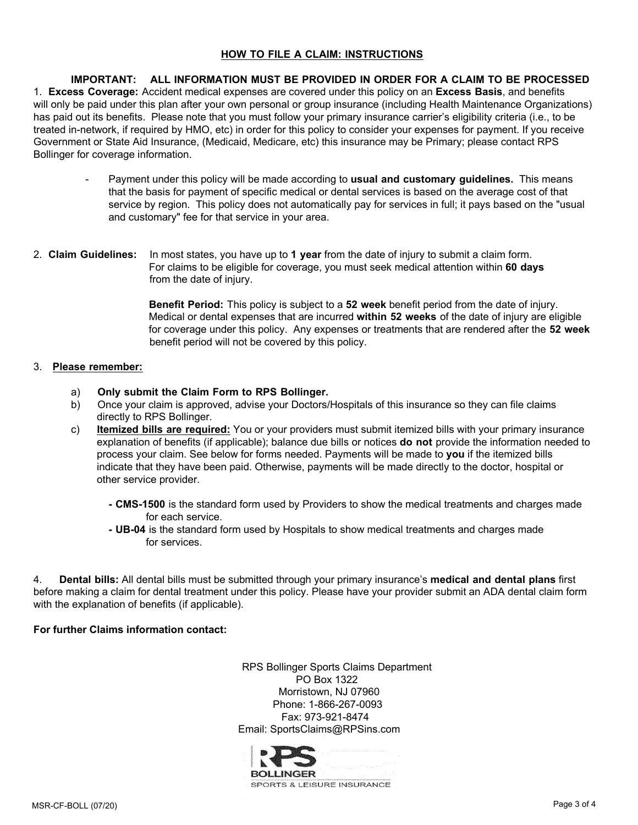### **HOW TO FILE A CLAIM: INSTRUCTIONS**

**IMPORTANT: ALL INFORMATION MUST BE PROVIDED IN ORDER FOR A CLAIM TO BE PROCESSED** 1. **Excess Coverage:** Accident medical expenses are covered under this policy on an **Excess Basis**, and benefits will only be paid under this plan after your own personal or group insurance (including Health Maintenance Organizations) has paid out its benefits. Please note that you must follow your primary insurance carrier's eligibility criteria (i.e., to be treated in-network, if required by HMO, etc) in order for this policy to consider your expenses for payment. If you receive Government or State Aid Insurance, (Medicaid, Medicare, etc) this insurance may be Primary; please contact RPS Bollinger for coverage information.

- Payment under this policy will be made according to **usual and customary guidelines.** This means that the basis for payment of specific medical or dental services is based on the average cost of that service by region. This policy does not automatically pay for services in full; it pays based on the "usual and customary" fee for that service in your area.
- 2. **Claim Guidelines:** In most states, you have up to **1 year** from the date of injury to submit a claim form. For claims to be eligible for coverage, you must seek medical attention within **60 days** from the date of injury.

**Benefit Period:** This policy is subject to a **52 week** benefit period from the date of injury. Medical or dental expenses that are incurred **within 52 weeks** of the date of injury are eligible for coverage under this policy. Any expenses or treatments that are rendered after the **52 week** benefit period will not be covered by this policy.

#### 3. **Please remember:**

- a) **Only submit the Claim Form to RPS Bollinger.**
- b) Once your claim is approved, advise your Doctors/Hospitals of this insurance so they can file claims directly to RPS Bollinger.
- c) **Itemized bills are required:** You or your providers must submit itemized bills with your primary insurance explanation of benefits (if applicable); balance due bills or notices **do not** provide the information needed to process your claim. See below for forms needed. Payments will be made to **you** if the itemized bills indicate that they have been paid. Otherwise, payments will be made directly to the doctor, hospital or other service provider.
	- **- CMS-1500** is the standard form used by Providers to show the medical treatments and charges made for each service.
	- **- UB-04** is the standard form used by Hospitals to show medical treatments and charges made for services.

4. **Dental bills:** All dental bills must be submitted through your primary insurance's **medical and dental plans** first before making a claim for dental treatment under this policy. Please have your provider submit an ADA dental claim form with the explanation of benefits (if applicable).

**For further Claims information contact:**

RPS Bollinger Sports Claims Department PO Box 1322 Morristown, NJ 07960 Phone: 1-866-267-0093 Fax: 973-921-8474 Email: SportsClaims@RPSins.com